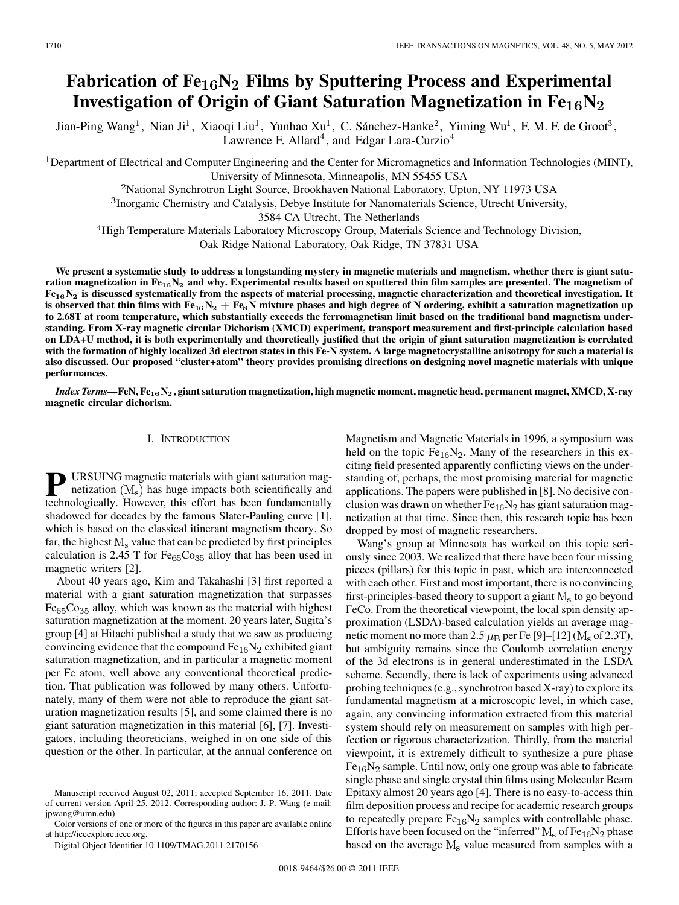# **Fabrication of Fe**<sub>16</sub>N<sub>2</sub> Films by Sputtering Process and Experimental Investigation of Origin of Giant Saturation Magnetization in  $\mathbf{Fe_{16}N_{2}}$

Jian-Ping Wang<sup>1</sup>, Nian Ji<sup>1</sup>, Xiaoqi Liu<sup>1</sup>, Yunhao Xu<sup>1</sup>, C. Sánchez-Hanke<sup>2</sup>, Yiming Wu<sup>1</sup>, F. M. F. de Groot<sup>3</sup>, Lawrence F. Allard<sup>4</sup>, and Edgar Lara-Curzio<sup>4</sup>

<sup>1</sup>Department of Electrical and Computer Engineering and the Center for Micromagnetics and Information Technologies (MINT), University of Minnesota, Minneapolis, MN 55455 USA

<sup>2</sup>National Synchrotron Light Source, Brookhaven National Laboratory, Upton, NY 11973 USA

<sup>3</sup> Inorganic Chemistry and Catalysis, Debye Institute for Nanomaterials Science, Utrecht University,

3584 CA Utrecht, The Netherlands

<sup>4</sup>High Temperature Materials Laboratory Microscopy Group, Materials Science and Technology Division, Oak Ridge National Laboratory, Oak Ridge, TN 37831 USA

**We present a systematic study to address a longstanding mystery in magnetic materials and magnetism, whether there is giant satu**ration magnetization in Fe<sub>16</sub>N<sub>2</sub> and why. Experimental results based on sputtered thin film samples are presented. The magnetism of  $Fe_{16}N_2$  is discussed systematically from the aspects of material processing, magnetic characterization and theoretical investigation. It is observed that thin films with  $\rm Fe_{16}N_2+Fe_8N$  mixture phases and high degree of N ordering, exhibit a saturation magnetization up **to 2.68T at room temperature, which substantially exceeds the ferromagnetism limit based on the traditional band magnetism understanding. From X-ray magnetic circular Dichorism (XMCD) experiment, transport measurement and first-principle calculation based on LDA+U method, it is both experimentally and theoretically justified that the origin of giant saturation magnetization is correlated with the formation of highly localized 3d electron states in this Fe-N system. A large magnetocrystalline anisotropy for such a material is also discussed. Our proposed "cluster+atom" theory provides promising directions on designing novel magnetic materials with unique performances.**

*Index Terms—***FeN, Fe**-**N, giant saturation magnetization, high magnetic moment, magnetic head, permanent magnet, XMCD, X-ray magnetic circular dichorism.**

### I. INTRODUCTION

**P** URSUING magnetic materials with giant saturation magnetization  $(M_s)$  has huge impacts both scientifically and technologically. However, this effort has been fundamentally technologically. However, this effort has been fundamentally shadowed for decades by the famous Slater-Pauling curve [1], which is based on the classical itinerant magnetism theory. So far, the highest  $M_s$  value that can be predicted by first principles calculation is 2.45 T for  $Fe<sub>65</sub>Co<sub>35</sub>$  alloy that has been used in magnetic writers [2].

About 40 years ago, Kim and Takahashi [3] first reported a material with a giant saturation magnetization that surpasses  $Fe<sub>65</sub>Co<sub>35</sub>$  alloy, which was known as the material with highest saturation magnetization at the moment. 20 years later, Sugita's group [4] at Hitachi published a study that we saw as producing convincing evidence that the compound  $Fe<sub>16</sub>N<sub>2</sub>$  exhibited giant saturation magnetization, and in particular a magnetic moment per Fe atom, well above any conventional theoretical prediction. That publication was followed by many others. Unfortunately, many of them were not able to reproduce the giant saturation magnetization results [5], and some claimed there is no giant saturation magnetization in this material [6], [7]. Investigators, including theoreticians, weighed in on one side of this question or the other. In particular, at the annual conference on

Color versions of one or more of the figures in this paper are available online at http://ieeexplore.ieee.org.

Digital Object Identifier 10.1109/TMAG.2011.2170156

Magnetism and Magnetic Materials in 1996, a symposium was held on the topic  $Fe_{16}N_2$ . Many of the researchers in this exciting field presented apparently conflicting views on the understanding of, perhaps, the most promising material for magnetic applications. The papers were published in [8]. No decisive conclusion was drawn on whether  $Fe<sub>16</sub>N<sub>2</sub>$  has giant saturation magnetization at that time. Since then, this research topic has been dropped by most of magnetic researchers.

Wang's group at Minnesota has worked on this topic seriously since 2003. We realized that there have been four missing pieces (pillars) for this topic in past, which are interconnected with each other. First and most important, there is no convincing first-principles-based theory to support a giant  $M_s$  to go beyond FeCo. From the theoretical viewpoint, the local spin density approximation (LSDA)-based calculation yields an average magnetic moment no more than 2.5  $\mu$ <sub>B</sub> per Fe [9]–[12] (M<sub>s</sub> of 2.3T), but ambiguity remains since the Coulomb correlation energy of the 3d electrons is in general underestimated in the LSDA scheme. Secondly, there is lack of experiments using advanced probing techniques (e.g., synchrotron based X-ray) to explore its fundamental magnetism at a microscopic level, in which case, again, any convincing information extracted from this material system should rely on measurement on samples with high perfection or rigorous characterization. Thirdly, from the material viewpoint, it is extremely difficult to synthesize a pure phase  $Fe<sub>16</sub>N<sub>2</sub>$  sample. Until now, only one group was able to fabricate single phase and single crystal thin films using Molecular Beam Epitaxy almost 20 years ago [4]. There is no easy-to-access thin film deposition process and recipe for academic research groups to repeatedly prepare  $Fe_{16}N_2$  samples with controllable phase. Efforts have been focused on the "inferred"  $M_s$  of Fe<sub>16</sub>N<sub>2</sub> phase based on the average  $M_s$  value measured from samples with a

Manuscript received August 02, 2011; accepted September 16, 2011. Date of current version April 25, 2012. Corresponding author: J.-P. Wang (e-mail: jpwang@umn.edu).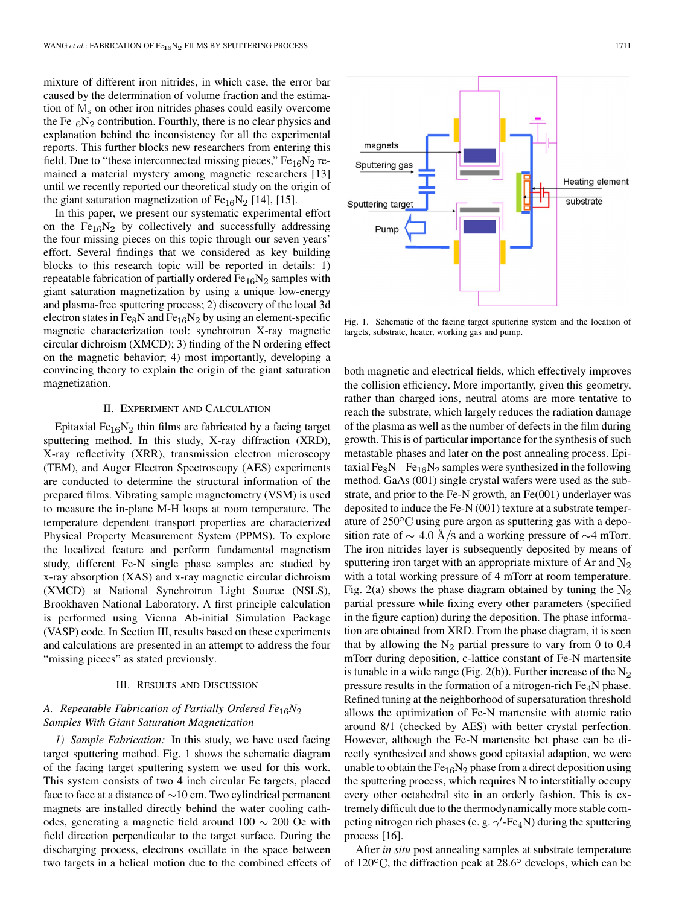mixture of different iron nitrides, in which case, the error bar caused by the determination of volume fraction and the estimation of  $M_s$  on other iron nitrides phases could easily overcome the  $Fe_{16}N_2$  contribution. Fourthly, there is no clear physics and explanation behind the inconsistency for all the experimental reports. This further blocks new researchers from entering this field. Due to "these interconnected missing pieces,"  $Fe_{16}N_2$  remained a material mystery among magnetic researchers [13] until we recently reported our theoretical study on the origin of the giant saturation magnetization of  $Fe_{16}N_2$  [14], [15].

In this paper, we present our systematic experimental effort on the  $Fe_{16}N_2$  by collectively and successfully addressing the four missing pieces on this topic through our seven years' effort. Several findings that we considered as key building blocks to this research topic will be reported in details: 1) repeatable fabrication of partially ordered  $Fe<sub>16</sub>N<sub>2</sub>$  samples with giant saturation magnetization by using a unique low-energy and plasma-free sputtering process; 2) discovery of the local 3d electron states in Fe<sub>8</sub>N and Fe<sub>16</sub>N<sub>2</sub> by using an element-specific magnetic characterization tool: synchrotron X-ray magnetic circular dichroism (XMCD); 3) finding of the N ordering effect on the magnetic behavior; 4) most importantly, developing a convincing theory to explain the origin of the giant saturation magnetization.

## II. EXPERIMENT AND CALCULATION

Epitaxial Fe $_{16}N_2$  thin films are fabricated by a facing target sputtering method. In this study, X-ray diffraction (XRD), X-ray reflectivity (XRR), transmission electron microscopy (TEM), and Auger Electron Spectroscopy (AES) experiments are conducted to determine the structural information of the prepared films. Vibrating sample magnetometry (VSM) is used to measure the in-plane M-H loops at room temperature. The temperature dependent transport properties are characterized Physical Property Measurement System (PPMS). To explore the localized feature and perform fundamental magnetism study, different Fe-N single phase samples are studied by x-ray absorption (XAS) and x-ray magnetic circular dichroism (XMCD) at National Synchrotron Light Source (NSLS), Brookhaven National Laboratory. A first principle calculation is performed using Vienna Ab-initial Simulation Package (VASP) code. In Section III, results based on these experiments and calculations are presented in an attempt to address the four "missing pieces" as stated previously.

## III. RESULTS AND DISCUSSION

## *A. Repeatable Fabrication of Partially Ordered Fe N Samples With Giant Saturation Magnetization*

*1) Sample Fabrication:* In this study, we have used facing target sputtering method. Fig. 1 shows the schematic diagram of the facing target sputtering system we used for this work. This system consists of two 4 inch circular Fe targets, placed face to face at a distance of  $\sim$ 10 cm. Two cylindrical permanent magnets are installed directly behind the water cooling cathodes, generating a magnetic field around  $100 \sim 200$  Oe with field direction perpendicular to the target surface. During the discharging process, electrons oscillate in the space between two targets in a helical motion due to the combined effects of



Fig. 1. Schematic of the facing target sputtering system and the location of targets, substrate, heater, working gas and pump.

both magnetic and electrical fields, which effectively improves the collision efficiency. More importantly, given this geometry, rather than charged ions, neutral atoms are more tentative to reach the substrate, which largely reduces the radiation damage of the plasma as well as the number of defects in the film during growth. This is of particular importance for the synthesis of such metastable phases and later on the post annealing process. Epitaxial  $Fe<sub>8</sub>N+Fe<sub>16</sub>N<sub>2</sub>$  samples were synthesized in the following method. GaAs (001) single crystal wafers were used as the substrate, and prior to the Fe-N growth, an Fe(001) underlayer was deposited to induce the Fe-N (001) texture at a substrate temperature of  $250^{\circ}$ C using pure argon as sputtering gas with a deposition rate of  $\sim 4.0$  Å/s and a working pressure of  $\sim$ 4 mTorr. The iron nitrides layer is subsequently deposited by means of sputtering iron target with an appropriate mixture of Ar and  $N_2$ with a total working pressure of 4 mTorr at room temperature. Fig. 2(a) shows the phase diagram obtained by tuning the  $N_2$ partial pressure while fixing every other parameters (specified in the figure caption) during the deposition. The phase information are obtained from XRD. From the phase diagram, it is seen that by allowing the  $N_2$  partial pressure to vary from 0 to 0.4 mTorr during deposition, c-lattice constant of Fe-N martensite is tunable in a wide range (Fig. 2(b)). Further increase of the  $N_2$ pressure results in the formation of a nitrogen-rich  $Fe<sub>4</sub>N$  phase. Refined tuning at the neighborhood of supersaturation threshold allows the optimization of Fe-N martensite with atomic ratio around 8/1 (checked by AES) with better crystal perfection. However, although the Fe-N martensite bct phase can be directly synthesized and shows good epitaxial adaption, we were unable to obtain the  $Fe_{16}N_2$  phase from a direct deposition using the sputtering process, which requires N to interstitially occupy every other octahedral site in an orderly fashion. This is extremely difficult due to the thermodynamically more stable competing nitrogen rich phases (e. g.  $\gamma'$ -Fe<sub>4</sub>N) during the sputtering process [16].

After *in situ* post annealing samples at substrate temperature of  $120^{\circ}$ C, the diffraction peak at  $28.6^{\circ}$  develops, which can be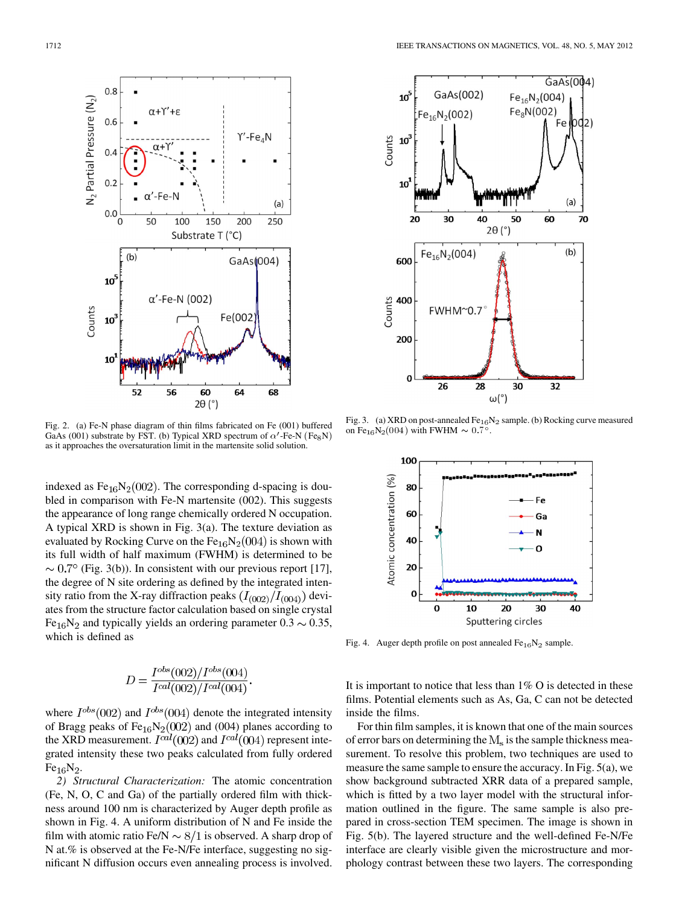

Fig. 2. (a) Fe-N phase diagram of thin films fabricated on Fe (001) buffered GaAs (001) substrate by FST. (b) Typical XRD spectrum of  $\alpha'$ -Fe-N (Fe<sub>8</sub>N) as it approaches the oversaturation limit in the martensite solid solution.

indexed as  $Fe_{16}N_2(002)$ . The corresponding d-spacing is doubled in comparison with Fe-N martensite (002). This suggests the appearance of long range chemically ordered N occupation. A typical XRD is shown in Fig. 3(a). The texture deviation as evaluated by Rocking Curve on the  $Fe_{16}N_2(004)$  is shown with its full width of half maximum (FWHM) is determined to be  $\sim 0.7^{\circ}$  (Fig. 3(b)). In consistent with our previous report [17], the degree of N site ordering as defined by the integrated intensity ratio from the X-ray diffraction peaks  $(I_{(002)}/I_{(004)})$  deviates from the structure factor calculation based on single crystal Fe<sub>16</sub>N<sub>2</sub> and typically yields an ordering parameter  $0.3 \sim 0.35$ , which is defined as

$$
D = \frac{I^{obs}(002)/I^{obs}(004)}{I^{cal}(002)/I^{cal}(004)}.
$$

where  $I^{obs}(002)$  and  $I^{obs}(004)$  denote the integrated intensity of Bragg peaks of  $Fe_{16}N_2(002)$  and (004) planes according to the XRD measurement.  $I^{cal}(002)$  and  $I^{cal}(004)$  represent integrated intensity these two peaks calculated from fully ordered  $Fe_{16}N_2.$ 

*2) Structural Characterization:* The atomic concentration (Fe, N, O, C and Ga) of the partially ordered film with thickness around 100 nm is characterized by Auger depth profile as shown in Fig. 4. A uniform distribution of N and Fe inside the film with atomic ratio Fe/N  $\sim 8/1$  is observed. A sharp drop of N at.% is observed at the Fe-N/Fe interface, suggesting no significant N diffusion occurs even annealing process is involved.



Fig. 3. (a) XRD on post-annealed  $Fe_{16}N_2$  sample. (b) Rocking curve measured Fig. 5. (a) XKD on post-anneared  $Fe_{16}$ <sup>1</sup> on  $Fe_{16}N_2(004)$  with FWHM  $\sim 0.7^{\circ}$ .



Fig. 4. Auger depth profile on post annealed  $Fe_{16}N_2$  sample.

It is important to notice that less than 1% O is detected in these films. Potential elements such as As, Ga, C can not be detected inside the films.

For thin film samples, it is known that one of the main sources of error bars on determining the  $M_s$  is the sample thickness measurement. To resolve this problem, two techniques are used to measure the same sample to ensure the accuracy. In Fig. 5(a), we show background subtracted XRR data of a prepared sample, which is fitted by a two layer model with the structural information outlined in the figure. The same sample is also prepared in cross-section TEM specimen. The image is shown in Fig. 5(b). The layered structure and the well-defined Fe-N/Fe interface are clearly visible given the microstructure and morphology contrast between these two layers. The corresponding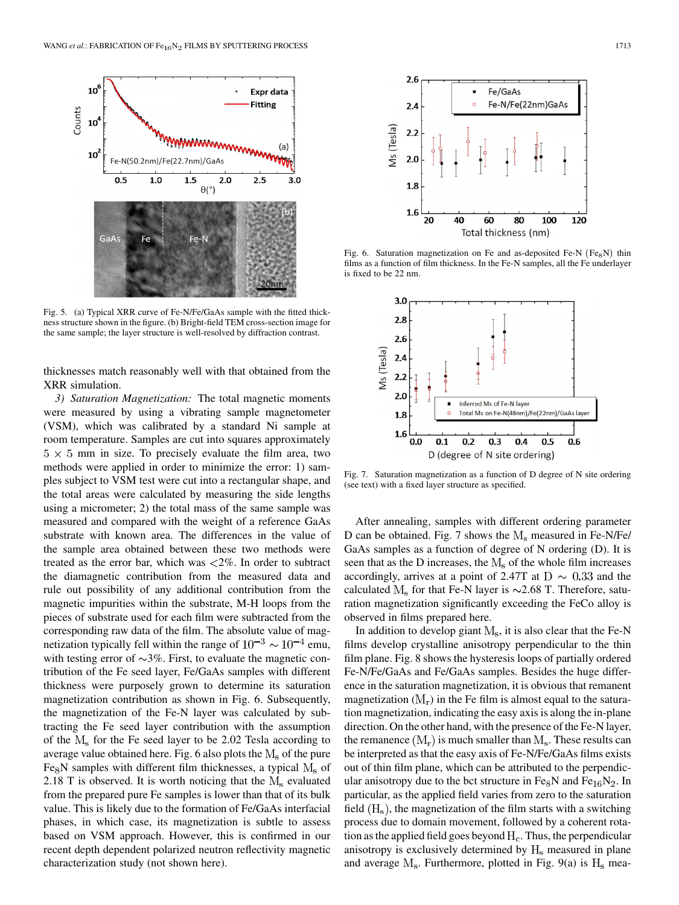

Fig. 5. (a) Typical XRR curve of Fe-N/Fe/GaAs sample with the fitted thickness structure shown in the figure. (b) Bright-field TEM cross-section image for the same sample; the layer structure is well-resolved by diffraction contrast.

thicknesses match reasonably well with that obtained from the XRR simulation.

*3) Saturation Magnetization:* The total magnetic moments were measured by using a vibrating sample magnetometer (VSM), which was calibrated by a standard Ni sample at room temperature. Samples are cut into squares approximately  $5 \times 5$  mm in size. To precisely evaluate the film area, two methods were applied in order to minimize the error: 1) samples subject to VSM test were cut into a rectangular shape, and the total areas were calculated by measuring the side lengths using a micrometer; 2) the total mass of the same sample was measured and compared with the weight of a reference GaAs substrate with known area. The differences in the value of the sample area obtained between these two methods were treated as the error bar, which was  $\langle 2\% \rangle$ . In order to subtract the diamagnetic contribution from the measured data and rule out possibility of any additional contribution from the magnetic impurities within the substrate, M-H loops from the pieces of substrate used for each film were subtracted from the corresponding raw data of the film. The absolute value of magnetization typically fell within the range of  $10^{-3} \sim 10^{-4}$  emu, with testing error of  $\sim$ 3%. First, to evaluate the magnetic contribution of the Fe seed layer, Fe/GaAs samples with different thickness were purposely grown to determine its saturation magnetization contribution as shown in Fig. 6. Subsequently, the magnetization of the Fe-N layer was calculated by subtracting the Fe seed layer contribution with the assumption of the  $M_s$  for the Fe seed layer to be 2.02 Tesla according to average value obtained here. Fig. 6 also plots the  $M_s$  of the pure Fe<sub>8</sub>N samples with different film thicknesses, a typical  $M_s$  of 2.18 T is observed. It is worth noticing that the  $M_s$  evaluated from the prepared pure Fe samples is lower than that of its bulk value. This is likely due to the formation of Fe/GaAs interfacial phases, in which case, its magnetization is subtle to assess based on VSM approach. However, this is confirmed in our recent depth dependent polarized neutron reflectivity magnetic characterization study (not shown here).



Fig. 6. Saturation magnetization on Fe and as-deposited Fe-N ( $Fe<sub>8</sub>N$ ) thin films as a function of film thickness. In the Fe-N samples, all the Fe underlayer is fixed to be 22 nm.



Fig. 7. Saturation magnetization as a function of D degree of N site ordering (see text) with a fixed layer structure as specified.

After annealing, samples with different ordering parameter D can be obtained. Fig. 7 shows the  $M_s$  measured in Fe-N/Fe/ GaAs samples as a function of degree of N ordering (D). It is seen that as the D increases, the  $M_s$  of the whole film increases accordingly, arrives at a point of 2.47T at  $D \sim 0.33$  and the calculated  $M<sub>s</sub>$  for that Fe-N layer is  $\sim$ 2.68 T. Therefore, saturation magnetization significantly exceeding the FeCo alloy is observed in films prepared here.

In addition to develop giant  $M_s$ , it is also clear that the Fe-N films develop crystalline anisotropy perpendicular to the thin film plane. Fig. 8 shows the hysteresis loops of partially ordered Fe-N/Fe/GaAs and Fe/GaAs samples. Besides the huge difference in the saturation magnetization, it is obvious that remanent magnetization  $(M_r)$  in the Fe film is almost equal to the saturation magnetization, indicating the easy axis is along the in-plane direction. On the other hand, with the presence of the Fe-N layer, the remanence  $(M_r)$  is much smaller than  $M_s$ . These results can be interpreted as that the easy axis of Fe-N/Fe/GaAs films exists out of thin film plane, which can be attributed to the perpendicular anisotropy due to the bct structure in  $Fe<sub>8</sub>N$  and  $Fe<sub>16</sub>N<sub>2</sub>$ . In particular, as the applied field varies from zero to the saturation field  $(H_s)$ , the magnetization of the film starts with a switching process due to domain movement, followed by a coherent rotation as the applied field goes beyond  $H<sub>c</sub>$ . Thus, the perpendicular anisotropy is exclusively determined by  $H_s$  measured in plane and average  $M_s$ . Furthermore, plotted in Fig. 9(a) is  $H_s$  mea-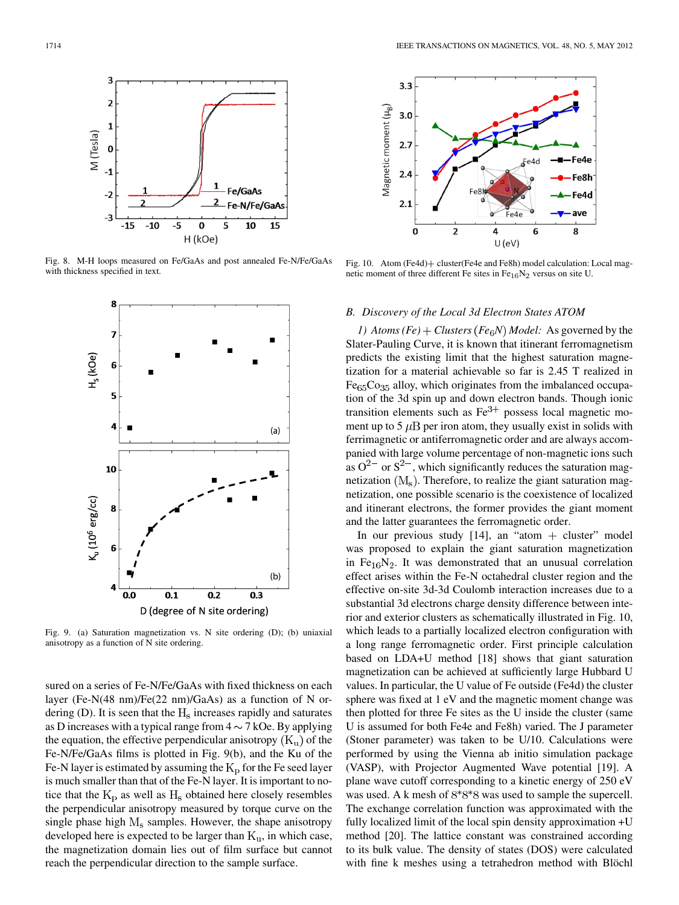

Fig. 8. M-H loops measured on Fe/GaAs and post annealed Fe-N/Fe/GaAs with thickness specified in text.



Fig. 9. (a) Saturation magnetization vs. N site ordering (D); (b) uniaxial anisotropy as a function of N site ordering.

sured on a series of Fe-N/Fe/GaAs with fixed thickness on each layer (Fe-N(48 nm)/Fe(22 nm)/GaAs) as a function of N ordering (D). It is seen that the  $H_s$  increases rapidly and saturates as D increases with a typical range from  $4 \sim 7$  kOe. By applying the equation, the effective perpendicular anisotropy  $(K_u)$  of the Fe-N/Fe/GaAs films is plotted in Fig. 9(b), and the Ku of the Fe-N layer is estimated by assuming the  $K<sub>p</sub>$  for the Fe seed layer is much smaller than that of the Fe-N layer. It is important to notice that the  $K_p$  as well as  $H_s$  obtained here closely resembles the perpendicular anisotropy measured by torque curve on the single phase high  $M_s$  samples. However, the shape anisotropy developed here is expected to be larger than  $K_u$ , in which case, the magnetization domain lies out of film surface but cannot reach the perpendicular direction to the sample surface.



Fig. 10. Atom (Fe4d) + cluster(Fe4e and Fe8h) model calculation: Local magnetic moment of three different Fe sites in  $Fe_{16}N_2$  versus on site U.

#### *B. Discovery of the Local 3d Electron States ATOM*

*1)* Atoms  $(Fe) + Clusters$   $(Fe<sub>6</sub>N)$  *Model:* As governed by the Slater-Pauling Curve, it is known that itinerant ferromagnetism predicts the existing limit that the highest saturation magnetization for a material achievable so far is 2.45 T realized in  $Fe<sub>65</sub>Co<sub>35</sub>$  alloy, which originates from the imbalanced occupation of the 3d spin up and down electron bands. Though ionic transition elements such as  $Fe<sup>3+</sup>$  possess local magnetic moment up to 5  $\mu$ B per iron atom, they usually exist in solids with ferrimagnetic or antiferromagnetic order and are always accompanied with large volume percentage of non-magnetic ions such as  $Q^{2-}$  or  $S^{2-}$ , which significantly reduces the saturation magnetization  $(M_s)$ . Therefore, to realize the giant saturation magnetization, one possible scenario is the coexistence of localized and itinerant electrons, the former provides the giant moment and the latter guarantees the ferromagnetic order.

In our previous study  $[14]$ , an "atom + cluster" model was proposed to explain the giant saturation magnetization in Fe $_{16}$ N<sub>2</sub>. It was demonstrated that an unusual correlation effect arises within the Fe-N octahedral cluster region and the effective on-site 3d-3d Coulomb interaction increases due to a substantial 3d electrons charge density difference between interior and exterior clusters as schematically illustrated in Fig. 10, which leads to a partially localized electron configuration with a long range ferromagnetic order. First principle calculation based on LDA+U method [18] shows that giant saturation magnetization can be achieved at sufficiently large Hubbard U values. In particular, the U value of Fe outside (Fe4d) the cluster sphere was fixed at 1 eV and the magnetic moment change was then plotted for three Fe sites as the U inside the cluster (same U is assumed for both Fe4e and Fe8h) varied. The J parameter (Stoner parameter) was taken to be U/10. Calculations were performed by using the Vienna ab initio simulation package (VASP), with Projector Augmented Wave potential [19]. A plane wave cutoff corresponding to a kinetic energy of 250 eV was used. A k mesh of  $8*8*8$  was used to sample the supercell. The exchange correlation function was approximated with the fully localized limit of the local spin density approximation +U method [20]. The lattice constant was constrained according to its bulk value. The density of states (DOS) were calculated with fine k meshes using a tetrahedron method with Blöchl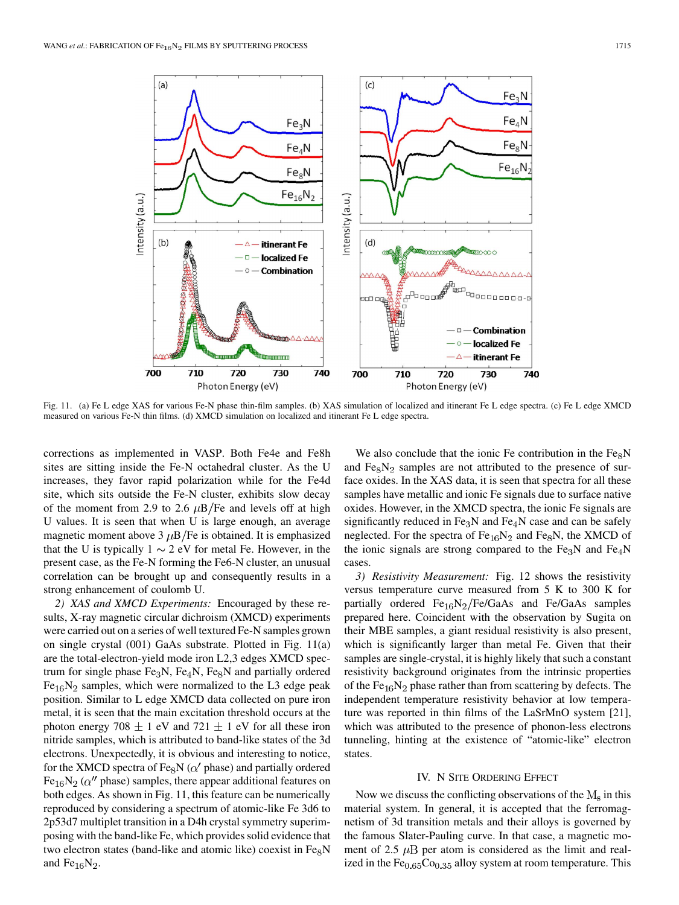

Fig. 11. (a) Fe L edge XAS for various Fe-N phase thin-film samples. (b) XAS simulation of localized and itinerant Fe L edge spectra. (c) Fe L edge XMCD measured on various Fe-N thin films. (d) XMCD simulation on localized and itinerant Fe L edge spectra.

corrections as implemented in VASP. Both Fe4e and Fe8h sites are sitting inside the Fe-N octahedral cluster. As the U increases, they favor rapid polarization while for the Fe4d site, which sits outside the Fe-N cluster, exhibits slow decay of the moment from 2.9 to 2.6  $\mu$ B/Fe and levels off at high U values. It is seen that when U is large enough, an average magnetic moment above 3  $\mu$ B/Fe is obtained. It is emphasized that the U is typically  $1 \sim 2$  eV for metal Fe. However, in the present case, as the Fe-N forming the Fe6-N cluster, an unusual correlation can be brought up and consequently results in a strong enhancement of coulomb U.

*2) XAS and XMCD Experiments:* Encouraged by these results, X-ray magnetic circular dichroism (XMCD) experiments were carried out on a series of well textured Fe-N samples grown on single crystal (001) GaAs substrate. Plotted in Fig. 11(a) are the total-electron-yield mode iron L2,3 edges XMCD spectrum for single phase  $Fe<sub>3</sub>N, Fe<sub>4</sub>N, Fe<sub>8</sub>N$  and partially ordered  $Fe<sub>16</sub>N<sub>2</sub>$  samples, which were normalized to the L3 edge peak position. Similar to L edge XMCD data collected on pure iron metal, it is seen that the main excitation threshold occurs at the photon energy 708  $\pm$  1 eV and 721  $\pm$  1 eV for all these iron nitride samples, which is attributed to band-like states of the 3d electrons. Unexpectedly, it is obvious and interesting to notice, for the XMCD spectra of Fe<sub>8</sub>N ( $\alpha'$  phase) and partially ordered Fe<sub>16</sub>N<sub>2</sub> ( $\alpha''$  phase) samples, there appear additional features on both edges. As shown in Fig. 11, this feature can be numerically reproduced by considering a spectrum of atomic-like Fe 3d6 to 2p53d7 multiplet transition in a D4h crystal symmetry superimposing with the band-like Fe, which provides solid evidence that two electron states (band-like and atomic like) coexist in  $Fe<sub>8</sub>N$ and  $Fe_{16}N_2$ .

We also conclude that the ionic Fe contribution in the  $Fe<sub>8</sub>N$ and  $Fe<sub>8</sub>N<sub>2</sub>$  samples are not attributed to the presence of surface oxides. In the XAS data, it is seen that spectra for all these samples have metallic and ionic Fe signals due to surface native oxides. However, in the XMCD spectra, the ionic Fe signals are significantly reduced in  $Fe<sub>3</sub>N$  and  $Fe<sub>4</sub>N$  case and can be safely neglected. For the spectra of  $Fe_{16}N_2$  and  $Fe_8N$ , the XMCD of the ionic signals are strong compared to the  $Fe<sub>3</sub>N$  and  $Fe<sub>4</sub>N$ cases.

*3) Resistivity Measurement:* Fig. 12 shows the resistivity versus temperature curve measured from 5 K to 300 K for partially ordered  $Fe_{16}N_2/Fe/GaAs$  and  $Fe/GaAs$  samples prepared here. Coincident with the observation by Sugita on their MBE samples, a giant residual resistivity is also present, which is significantly larger than metal Fe. Given that their samples are single-crystal, it is highly likely that such a constant resistivity background originates from the intrinsic properties of the  $Fe<sub>16</sub>N<sub>2</sub>$  phase rather than from scattering by defects. The independent temperature resistivity behavior at low temperature was reported in thin films of the LaSrMnO system [21], which was attributed to the presence of phonon-less electrons tunneling, hinting at the existence of "atomic-like" electron states.

### IV. N SITE ORDERING EFFECT

Now we discuss the conflicting observations of the  $M_s$  in this material system. In general, it is accepted that the ferromagnetism of 3d transition metals and their alloys is governed by the famous Slater-Pauling curve. In that case, a magnetic moment of 2.5  $\mu$ B per atom is considered as the limit and realized in the  $Fe<sub>0.65</sub>Co<sub>0.35</sub>$  alloy system at room temperature. This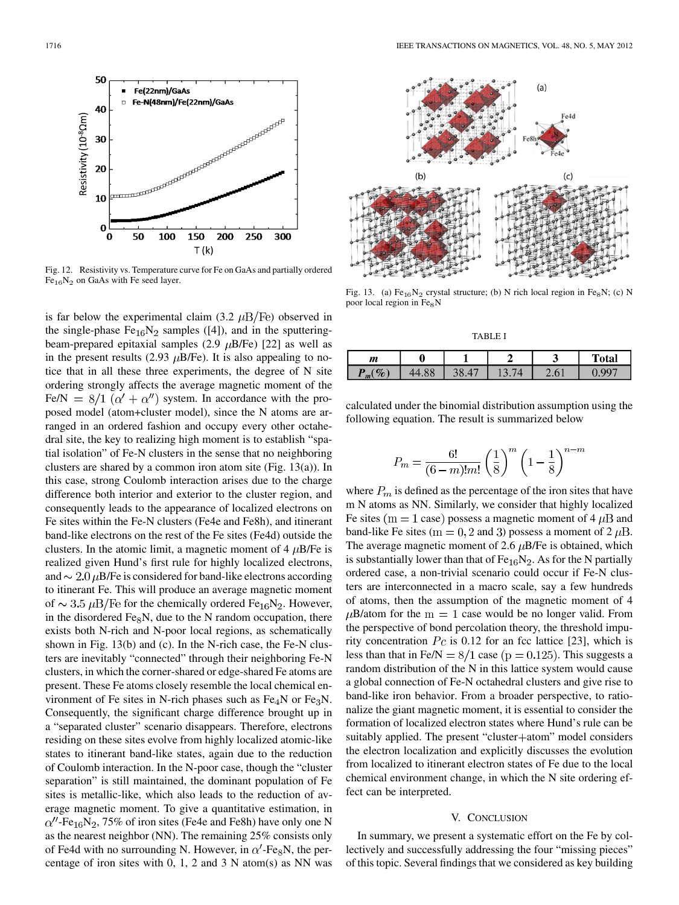

Fig. 12. Resistivity vs. Temperature curve for Fe on GaAs and partially ordered  $Fe<sub>16</sub>N<sub>2</sub>$  on GaAs with Fe seed layer.

is far below the experimental claim (3.2  $\mu$ B/Fe) observed in the single-phase  $Fe<sub>16</sub>N<sub>2</sub>$  samples ([4]), and in the sputteringbeam-prepared epitaxial samples (2.9  $\mu$ B/Fe) [22] as well as in the present results (2.93  $\mu$ B/Fe). It is also appealing to notice that in all these three experiments, the degree of N site ordering strongly affects the average magnetic moment of the Fe/N =  $8/1$  ( $\alpha' + \alpha''$ ) system. In accordance with the proposed model (atom+cluster model), since the N atoms are arranged in an ordered fashion and occupy every other octahedral site, the key to realizing high moment is to establish "spatial isolation" of Fe-N clusters in the sense that no neighboring clusters are shared by a common iron atom site (Fig. 13(a)). In this case, strong Coulomb interaction arises due to the charge difference both interior and exterior to the cluster region, and consequently leads to the appearance of localized electrons on Fe sites within the Fe-N clusters (Fe4e and Fe8h), and itinerant band-like electrons on the rest of the Fe sites (Fe4d) outside the clusters. In the atomic limit, a magnetic moment of 4  $\mu$ B/Fe is realized given Hund's first rule for highly localized electrons, and  $\sim 2.0 \,\mu$ B/Fe is considered for band-like electrons according to itinerant Fe. This will produce an average magnetic moment of  $\sim 3.5 \mu B/Fe$  for the chemically ordered Fe<sub>16</sub>N<sub>2</sub>. However, in the disordered  $Fe<sub>8</sub>N$ , due to the N random occupation, there exists both N-rich and N-poor local regions, as schematically shown in Fig. 13(b) and (c). In the N-rich case, the Fe-N clusters are inevitably "connected" through their neighboring Fe-N clusters, in which the corner-shared or edge-shared Fe atoms are present. These Fe atoms closely resemble the local chemical environment of Fe sites in N-rich phases such as  $Fe<sub>4</sub>N$  or  $Fe<sub>3</sub>N$ . Consequently, the significant charge difference brought up in a "separated cluster" scenario disappears. Therefore, electrons residing on these sites evolve from highly localized atomic-like states to itinerant band-like states, again due to the reduction of Coulomb interaction. In the N-poor case, though the "cluster separation" is still maintained, the dominant population of Fe sites is metallic-like, which also leads to the reduction of average magnetic moment. To give a quantitative estimation, in  $\alpha''$ -Fe<sub>16</sub>N<sub>2</sub>, 75% of iron sites (Fe4e and Fe8h) have only one N as the nearest neighbor (NN). The remaining 25% consists only of Fe4d with no surrounding N. However, in  $\alpha'$ -Fe<sub>8</sub>N, the percentage of iron sites with  $0, 1, 2$  and  $3$  N atom(s) as NN was



Fig. 13. (a) Fe $_{16}N_2$  crystal structure; (b) N rich local region in Fe<sub>8</sub>N; (c) N poor local region in  $Fe<sub>8</sub>N$ 

TABLE I

| $\boldsymbol{m}$ |    |          | ັ       | <b>Total</b> |
|------------------|----|----------|---------|--------------|
| $\%$<br>m        | oo | $\Delta$ | $\cdot$ |              |

calculated under the binomial distribution assumption using the following equation. The result is summarized below

$$
P_m = \frac{6!}{(6-m)!m!} \left(\frac{1}{8}\right)^m \left(1 - \frac{1}{8}\right)^{n-m}
$$

where  $P_m$  is defined as the percentage of the iron sites that have m N atoms as NN. Similarly, we consider that highly localized Fe sites ( $m = 1$  case) possess a magnetic moment of 4  $\mu$ B and band-like Fe sites ( $m = 0, 2$  and 3) possess a moment of 2  $\mu$ B. The average magnetic moment of 2.6  $\mu$ B/Fe is obtained, which is substantially lower than that of  $Fe_{16}N_2$ . As for the N partially ordered case, a non-trivial scenario could occur if Fe-N clusters are interconnected in a macro scale, say a few hundreds of atoms, then the assumption of the magnetic moment of 4  $\mu$ B/atom for the m = 1 case would be no longer valid. From the perspective of bond percolation theory, the threshold impurity concentration  $Pc$  is 0.12 for an fcc lattice [23], which is less than that in Fe/N =  $8/1$  case ( $p = 0.125$ ). This suggests a random distribution of the N in this lattice system would cause a global connection of Fe-N octahedral clusters and give rise to band-like iron behavior. From a broader perspective, to rationalize the giant magnetic moment, it is essential to consider the formation of localized electron states where Hund's rule can be suitably applied. The present "cluster+atom" model considers the electron localization and explicitly discusses the evolution from localized to itinerant electron states of Fe due to the local chemical environment change, in which the N site ordering effect can be interpreted.

## V. CONCLUSION

In summary, we present a systematic effort on the Fe by collectively and successfully addressing the four "missing pieces" of this topic. Several findings that we considered as key building